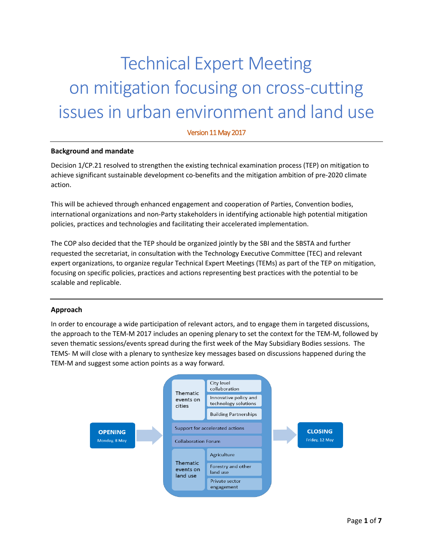## Technical Expert Meeting on mitigation focusing on cross-cutting issues in urban environment and land use

Version 11 May 2017

## **Background and mandate**

Decision 1/CP.21 resolved to strengthen the existing technical examination process (TEP) on mitigation to achieve significant sustainable development co-benefits and the mitigation ambition of pre-2020 climate action.

This will be achieved through enhanced engagement and cooperation of Parties, Convention bodies, international organizations and non-Party stakeholders in identifying actionable high potential mitigation policies, practices and technologies and facilitating their accelerated implementation.

The COP also decided that the TEP should be organized jointly by the SBI and the SBSTA and further requested the secretariat, in consultation with the Technology Executive Committee (TEC) and relevant expert organizations, to organize regular Technical Expert Meetings (TEMs) as part of the TEP on mitigation, focusing on specific policies, practices and actions representing best practices with the potential to be scalable and replicable.

## **Approach**

In order to encourage a wide participation of relevant actors, and to engage them in targeted discussions, the approach to the TEM-M 2017 includes an opening plenary to set the context for the TEM-M, followed by seven thematic sessions/events spread during the first week of the May Subsidiary Bodies sessions. The TEMS- M will close with a plenary to synthesize key messages based on discussions happened during the TEM-M and suggest some action points as a way forward.

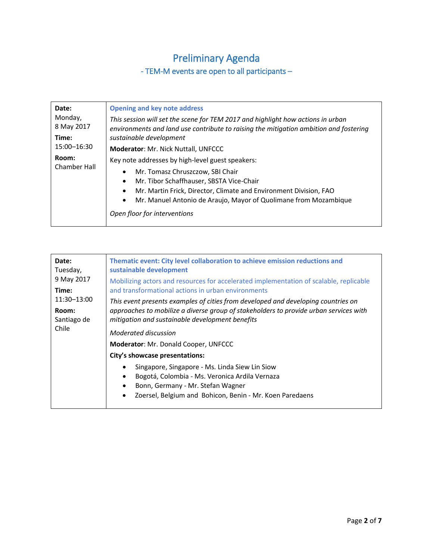## Preliminary Agenda

- TEM-M events are open to all participants –

| Date:                 | <b>Opening and key note address</b>                                                                                                                                      |
|-----------------------|--------------------------------------------------------------------------------------------------------------------------------------------------------------------------|
| Monday,<br>8 May 2017 | This session will set the scene for TEM 2017 and highlight how actions in urban<br>environments and land use contribute to raising the mitigation ambition and fostering |
| Time:                 | sustainable development                                                                                                                                                  |
| 15:00-16:30           | Moderator: Mr. Nick Nuttall, UNFCCC                                                                                                                                      |
| Room:                 | Key note addresses by high-level guest speakers:                                                                                                                         |
| Chamber Hall          | Mr. Tomasz Chruszczow, SBI Chair<br>$\bullet$                                                                                                                            |
|                       | Mr. Tibor Schaffhauser, SBSTA Vice-Chair<br>$\bullet$                                                                                                                    |
|                       | Mr. Martin Frick, Director, Climate and Environment Division, FAO<br>$\bullet$                                                                                           |
|                       | Mr. Manuel Antonio de Araujo, Mayor of Quolimane from Mozambique<br>$\bullet$                                                                                            |
|                       | Open floor for interventions                                                                                                                                             |

| Date:<br>Tuesday,<br>9 May 2017<br>Time:<br>11:30-13:00<br>Room:<br>Santiago de<br>Chile | Thematic event: City level collaboration to achieve emission reductions and<br>sustainable development<br>Mobilizing actors and resources for accelerated implementation of scalable, replicable<br>and transformational actions in urban environments<br>This event presents examples of cities from developed and developing countries on<br>approaches to mobilize a diverse group of stakeholders to provide urban services with<br>mitigation and sustainable development benefits<br>Moderated discussion<br>Moderator: Mr. Donald Cooper, UNFCCC<br>City's showcase presentations: |
|------------------------------------------------------------------------------------------|-------------------------------------------------------------------------------------------------------------------------------------------------------------------------------------------------------------------------------------------------------------------------------------------------------------------------------------------------------------------------------------------------------------------------------------------------------------------------------------------------------------------------------------------------------------------------------------------|
|                                                                                          | Singapore, Singapore - Ms. Linda Siew Lin Siow<br>Bogotá, Colombia - Ms. Veronica Ardila Vernaza<br>$\bullet$<br>Bonn, Germany - Mr. Stefan Wagner<br>$\bullet$<br>Zoersel, Belgium and Bohicon, Benin - Mr. Koen Paredaens<br>$\bullet$                                                                                                                                                                                                                                                                                                                                                  |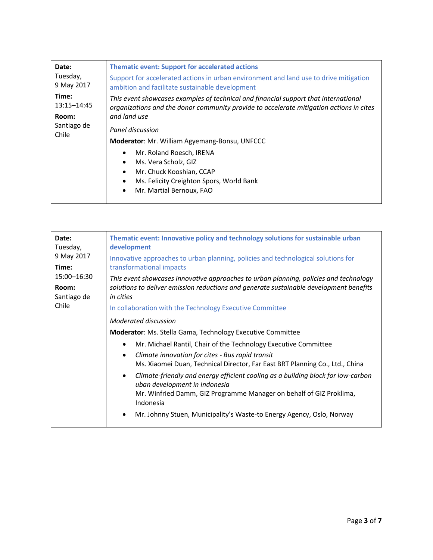| Date:                  | <b>Thematic event: Support for accelerated actions</b>                                                                                                                         |
|------------------------|--------------------------------------------------------------------------------------------------------------------------------------------------------------------------------|
| Tuesday,<br>9 May 2017 | Support for accelerated actions in urban environment and land use to drive mitigation<br>ambition and facilitate sustainable development                                       |
| Time:<br>13:15-14:45   | This event showcases examples of technical and financial support that international<br>organizations and the donor community provide to accelerate mitigation actions in cites |
| Room:                  | and land use                                                                                                                                                                   |
| Santiago de<br>Chile   | Panel discussion                                                                                                                                                               |
|                        | Moderator: Mr. William Agyemang-Bonsu, UNFCCC                                                                                                                                  |
|                        | Mr. Roland Roesch, IRENA<br>٠                                                                                                                                                  |
|                        | Ms. Vera Scholz, GIZ<br>٠                                                                                                                                                      |
|                        | Mr. Chuck Kooshian, CCAP<br>$\bullet$                                                                                                                                          |
|                        | Ms. Felicity Creighton Spors, World Bank<br>$\bullet$                                                                                                                          |
|                        | Mr. Martial Bernoux, FAO<br>$\bullet$                                                                                                                                          |
|                        |                                                                                                                                                                                |

| Date:<br>Tuesday,<br>9 May 2017 | Thematic event: Innovative policy and technology solutions for sustainable urban<br>development<br>Innovative approaches to urban planning, policies and technological solutions for |
|---------------------------------|--------------------------------------------------------------------------------------------------------------------------------------------------------------------------------------|
| Time:                           | transformational impacts                                                                                                                                                             |
| 15:00-16:30                     | This event showcases innovative approaches to urban planning, policies and technology                                                                                                |
| Room:<br>Santiago de            | solutions to deliver emission reductions and generate sustainable development benefits<br>in cities                                                                                  |
| Chile                           | In collaboration with the Technology Executive Committee                                                                                                                             |
|                                 | Moderated discussion                                                                                                                                                                 |
|                                 | <b>Moderator:</b> Ms. Stella Gama, Technology Executive Committee                                                                                                                    |
|                                 | Mr. Michael Rantil, Chair of the Technology Executive Committee<br>$\bullet$                                                                                                         |
|                                 | Climate innovation for cites - Bus rapid transit<br>$\bullet$                                                                                                                        |
|                                 | Ms. Xiaomei Duan, Technical Director, Far East BRT Planning Co., Ltd., China                                                                                                         |
|                                 | Climate-friendly and energy efficient cooling as a building block for low-carbon<br>$\bullet$<br>uban development in Indonesia                                                       |
|                                 | Mr. Winfried Damm, GIZ Programme Manager on behalf of GIZ Proklima,<br>Indonesia                                                                                                     |
|                                 | Mr. Johnny Stuen, Municipality's Waste-to Energy Agency, Oslo, Norway<br>$\bullet$                                                                                                   |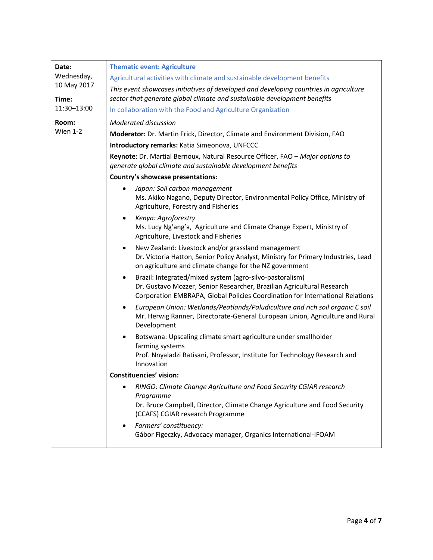| Date:                                             | <b>Thematic event: Agriculture</b>                                                                                                                                                                                               |
|---------------------------------------------------|----------------------------------------------------------------------------------------------------------------------------------------------------------------------------------------------------------------------------------|
| Wednesday,<br>10 May 2017<br>Time:<br>11:30-13:00 | Agricultural activities with climate and sustainable development benefits                                                                                                                                                        |
|                                                   | This event showcases initiatives of developed and developing countries in agriculture<br>sector that generate global climate and sustainable development benefits                                                                |
|                                                   | In collaboration with the Food and Agriculture Organization                                                                                                                                                                      |
| Room:                                             | Moderated discussion                                                                                                                                                                                                             |
| Wien $1-2$                                        | Moderator: Dr. Martin Frick, Director, Climate and Environment Division, FAO                                                                                                                                                     |
|                                                   | Introductory remarks: Katia Simeonova, UNFCCC                                                                                                                                                                                    |
|                                                   | Keynote: Dr. Martial Bernoux, Natural Resource Officer, FAO - Major options to<br>generate global climate and sustainable development benefits                                                                                   |
|                                                   | Country's showcase presentations:                                                                                                                                                                                                |
|                                                   | Japan: Soil carbon management<br>$\bullet$<br>Ms. Akiko Nagano, Deputy Director, Environmental Policy Office, Ministry of<br>Agriculture, Forestry and Fisheries                                                                 |
|                                                   | Kenya: Agroforestry<br>$\bullet$<br>Ms. Lucy Ng'ang'a, Agriculture and Climate Change Expert, Ministry of<br>Agriculture, Livestock and Fisheries                                                                                |
|                                                   | New Zealand: Livestock and/or grassland management<br>٠<br>Dr. Victoria Hatton, Senior Policy Analyst, Ministry for Primary Industries, Lead<br>on agriculture and climate change for the NZ government                          |
|                                                   | Brazil: Integrated/mixed system (agro-silvo-pastoralism)<br>$\bullet$<br>Dr. Gustavo Mozzer, Senior Researcher, Brazilian Agricultural Research<br>Corporation EMBRAPA, Global Policies Coordination for International Relations |
|                                                   | European Union: Wetlands/Peatlands/Paludiculture and rich soil organic C soil<br>$\bullet$<br>Mr. Herwig Ranner, Directorate-General European Union, Agriculture and Rural<br>Development                                        |
|                                                   | Botswana: Upscaling climate smart agriculture under smallholder<br>٠<br>farming systems<br>Prof. Nnyaladzi Batisani, Professor, Institute for Technology Research and<br>Innovation                                              |
|                                                   | <b>Constituencies' vision:</b>                                                                                                                                                                                                   |
|                                                   | RINGO: Climate Change Agriculture and Food Security CGIAR research<br>٠<br>Programme<br>Dr. Bruce Campbell, Director, Climate Change Agriculture and Food Security<br>(CCAFS) CGIAR research Programme                           |
|                                                   | Farmers' constituency:<br>٠<br>Gábor Figeczky, Advocacy manager, Organics International-IFOAM                                                                                                                                    |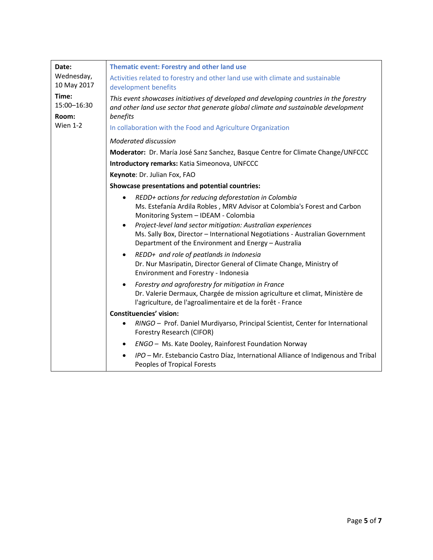| Date:                     | Thematic event: Forestry and other land use                                                                                                                                                                                                                                                                                                |
|---------------------------|--------------------------------------------------------------------------------------------------------------------------------------------------------------------------------------------------------------------------------------------------------------------------------------------------------------------------------------------|
| Wednesday,<br>10 May 2017 | Activities related to forestry and other land use with climate and sustainable<br>development benefits                                                                                                                                                                                                                                     |
| Time:<br>15:00-16:30      | This event showcases initiatives of developed and developing countries in the forestry<br>and other land use sector that generate global climate and sustainable development                                                                                                                                                               |
| Room:                     | benefits                                                                                                                                                                                                                                                                                                                                   |
| <b>Wien 1-2</b>           | In collaboration with the Food and Agriculture Organization                                                                                                                                                                                                                                                                                |
|                           | Moderated discussion                                                                                                                                                                                                                                                                                                                       |
|                           | Moderator: Dr. María José Sanz Sanchez, Basque Centre for Climate Change/UNFCCC                                                                                                                                                                                                                                                            |
|                           | Introductory remarks: Katia Simeonova, UNFCCC                                                                                                                                                                                                                                                                                              |
|                           | Keynote: Dr. Julian Fox, FAO                                                                                                                                                                                                                                                                                                               |
|                           | Showcase presentations and potential countries:                                                                                                                                                                                                                                                                                            |
|                           | REDD+ actions for reducing deforestation in Colombia<br>$\bullet$<br>Ms. Estefanía Ardila Robles, MRV Advisor at Colombia's Forest and Carbon<br>Monitoring System - IDEAM - Colombia<br>Project-level land sector mitigation: Australian experiences<br>٠<br>Ms. Sally Box, Director - International Negotiations - Australian Government |
|                           | Department of the Environment and Energy - Australia                                                                                                                                                                                                                                                                                       |
|                           | REDD+ and role of peatlands in Indonesia<br>$\bullet$<br>Dr. Nur Masripatin, Director General of Climate Change, Ministry of<br>Environment and Forestry - Indonesia                                                                                                                                                                       |
|                           | Forestry and agroforestry for mitigation in France<br>$\bullet$<br>Dr. Valerie Dermaux, Chargée de mission agriculture et climat, Ministère de<br>l'agriculture, de l'agroalimentaire et de la forêt - France                                                                                                                              |
|                           | <b>Constituencies' vision:</b>                                                                                                                                                                                                                                                                                                             |
|                           | RINGO - Prof. Daniel Murdiyarso, Principal Scientist, Center for International<br>$\bullet$<br>Forestry Research (CIFOR)                                                                                                                                                                                                                   |
|                           | ENGO - Ms. Kate Dooley, Rainforest Foundation Norway<br>$\bullet$                                                                                                                                                                                                                                                                          |
|                           | IPO - Mr. Estebancio Castro Díaz, International Alliance of Indigenous and Tribal<br>$\bullet$<br>Peoples of Tropical Forests                                                                                                                                                                                                              |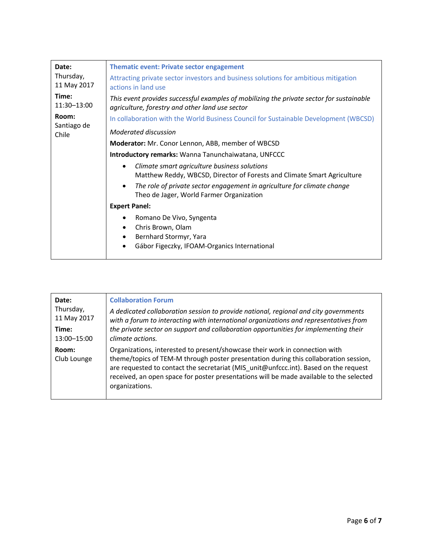| Date:                         | <b>Thematic event: Private sector engagement</b>                                                                                            |
|-------------------------------|---------------------------------------------------------------------------------------------------------------------------------------------|
| Thursday,<br>11 May 2017      | Attracting private sector investors and business solutions for ambitious mitigation<br>actions in land use                                  |
| Time:<br>11:30-13:00          | This event provides successful examples of mobilizing the private sector for sustainable<br>agriculture, forestry and other land use sector |
| Room:<br>Santiago de<br>Chile | In collaboration with the World Business Council for Sustainable Development (WBCSD)                                                        |
|                               | Moderated discussion                                                                                                                        |
|                               | Moderator: Mr. Conor Lennon, ABB, member of WBCSD                                                                                           |
|                               | <b>Introductory remarks:</b> Wanna Tanunchaiwatana, UNFCCC                                                                                  |
|                               | Climate smart agriculture business solutions<br>$\bullet$<br>Matthew Reddy, WBCSD, Director of Forests and Climate Smart Agriculture        |
|                               | The role of private sector engagement in agriculture for climate change<br>$\bullet$<br>Theo de Jager, World Farmer Organization            |
|                               | <b>Expert Panel:</b>                                                                                                                        |
|                               | Romano De Vivo, Syngenta<br>Chris Brown, Olam<br>Bernhard Stormyr, Yara<br>$\bullet$<br>Gábor Figeczky, IFOAM-Organics International        |

| Date:                | <b>Collaboration Forum</b>                                                                                                                                                                                                                                                                                                                                               |
|----------------------|--------------------------------------------------------------------------------------------------------------------------------------------------------------------------------------------------------------------------------------------------------------------------------------------------------------------------------------------------------------------------|
| Thursday,            | A dedicated collaboration session to provide national, regional and city governments                                                                                                                                                                                                                                                                                     |
| 11 May 2017          | with a forum to interacting with international organizations and representatives from                                                                                                                                                                                                                                                                                    |
| Time:                | the private sector on support and collaboration opportunities for implementing their                                                                                                                                                                                                                                                                                     |
| 13:00-15:00          | climate actions.                                                                                                                                                                                                                                                                                                                                                         |
| Room:<br>Club Lounge | Organizations, interested to present/showcase their work in connection with<br>theme/topics of TEM-M through poster presentation during this collaboration session,<br>are requested to contact the secretariat (MIS unit@unfccc.int). Based on the request<br>received, an open space for poster presentations will be made available to the selected<br>organizations. |